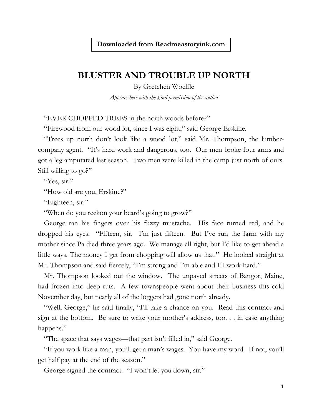**Downloaded from Readmeastoryink.com**

## **BLUSTER AND TROUBLE UP NORTH**

By Gretchen Woelfle *Appears here with the kind permission of the author*

"EVER CHOPPED TREES in the north woods before?"

"Firewood from our wood lot, since I was eight," said George Erskine.

"Trees up north don't look like a wood lot," said Mr. Thompson, the lumbercompany agent. "It's hard work and dangerous, too. Our men broke four arms and got a leg amputated last season. Two men were killed in the camp just north of ours. Still willing to go?"

"Yes, sir."

"How old are you, Erskine?"

"Eighteen, sir."

"When do you reckon your beard's going to grow?"

George ran his fingers over his fuzzy mustache. His face turned red, and he dropped his eyes. "Fifteen, sir. I'm just fifteen. But I've run the farm with my mother since Pa died three years ago. We manage all right, but I'd like to get ahead a little ways. The money I get from chopping will allow us that." He looked straight at Mr. Thompson and said fiercely, "I'm strong and I'm able and I'll work hard."

Mr. Thompson looked out the window. The unpaved streets of Bangor, Maine, had frozen into deep ruts. A few townspeople went about their business this cold November day, but nearly all of the loggers had gone north already.

"Well, George," he said finally, "I'll take a chance on you. Read this contract and sign at the bottom. Be sure to write your mother's address, too. . . in case anything happens."

"The space that says wages—that part isn't filled in," said George.

"If you work like a man, you'll get a man's wages. You have my word. If not, you'll get half pay at the end of the season."

George signed the contract. "I won't let you down, sir."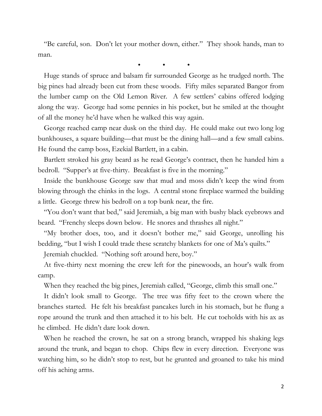"Be careful, son. Don't let your mother down, either." They shook hands, man to man.

• • •

Huge stands of spruce and balsam fir surrounded George as he trudged north. The big pines had already been cut from these woods. Fifty miles separated Bangor from the lumber camp on the Old Lemon River. A few settlers' cabins offered lodging along the way. George had some pennies in his pocket, but he smiled at the thought of all the money he'd have when he walked this way again.

George reached camp near dusk on the third day. He could make out two long log bunkhouses, a square building—that must be the dining hall—and a few small cabins. He found the camp boss, Ezekial Bartlett, in a cabin.

Bartlett stroked his gray beard as he read George's contract, then he handed him a bedroll. "Supper's at five-thirty. Breakfast is five in the morning."

Inside the bunkhouse George saw that mud and moss didn't keep the wind from blowing through the chinks in the logs. A central stone fireplace warmed the building a little. George threw his bedroll on a top bunk near, the fire.

"You don't want that bed," said Jeremiah, a big man with bushy black eyebrows and beard. "Frenchy sleeps down below. He snores and thrashes all night."

"My brother does, too, and it doesn't bother me," said George, unrolling his bedding, "but I wish I could trade these scratchy blankets for one of Ma's quilts."

Jeremiah chuckled. "Nothing soft around here, boy."

At five-thirty next morning the crew left for the pinewoods, an hour's walk from camp.

When they reached the big pines, Jeremiah called, "George, climb this small one."

It didn't look small to George. The tree was fifty feet to the crown where the branches started. He felt his breakfast pancakes lurch in his stomach, but he flung a rope around the trunk and then attached it to his belt. He cut toeholds with his ax as he climbed. He didn't dare look down.

When he reached the crown, he sat on a strong branch, wrapped his shaking legs around the trunk, and began to chop. Chips flew in every direction. Everyone was watching him, so he didn't stop to rest, but he grunted and groaned to take his mind off his aching arms.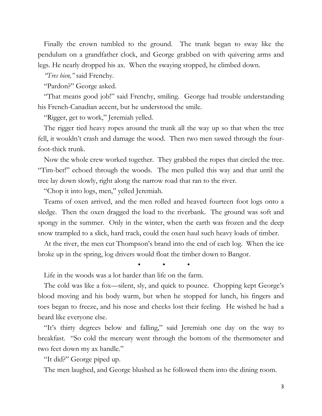Finally the crown tumbled to the ground. The trunk began to sway like the pendulum on a grandfather clock, and George grabbed on with quivering arms and legs. He nearly dropped his ax. When the swaying stopped, he climbed down.

*"Tres bien,"* said Frenchy.

"Pardon?" George asked.

"That means good job!" said Frenchy, smiling. George had trouble understanding his French-Canadian accent, but he understood the smile.

"Rigger, get to work," Jeremiah yelled.

The rigger tied heavy ropes around the trunk all the way up so that when the tree fell, it wouldn't crash and damage the wood. Then two men sawed through the fourfoot-thick trunk.

Now the whole crew worked together. They grabbed the ropes that circled the tree. "Tim-ber!" echoed through the woods. The men pulled this way and that until the tree lay down slowly, right along the narrow road that ran to the river.

"Chop it into logs, men," yelled Jeremiah.

Teams of oxen arrived, and the men rolled and heaved fourteen foot logs onto a sledge. Then the oxen dragged the load to the riverbank. The ground was soft and spongy in the summer. Only in the winter, when the earth was frozen and the deep snow trampled to a slick, hard track, could the oxen haul such heavy loads of timber.

At the river, the men cut Thompson's brand into the end of each log. When the ice broke up in the spring, log drivers would float the timber down to Bangor.

• • •

Life in the woods was a lot harder than life on the farm.

The cold was like a fox—silent, sly, and quick to pounce. Chopping kept George's blood moving and his body warm, but when he stopped for lunch, his fingers and toes began to freeze, and his nose and cheeks lost their feeling. He wished he had a beard like everyone else.

"It's thirty degrees below and falling," said Jeremiah one day on the way to breakfast. "So cold the mercury went through the bottom of the thermometer and two feet down my ax handle."

"It did?" George piped up.

The men laughed, and George blushed as he followed them into the dining room.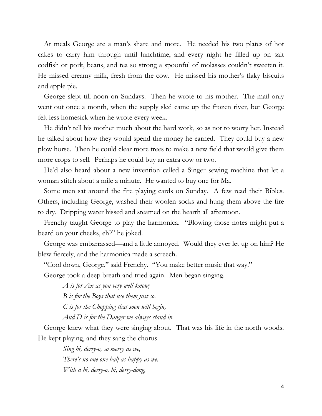At meals George ate a man's share and more. He needed his two plates of hot cakes to carry him through until lunchtime, and every night he filled up on salt codfish or pork, beans, and tea so strong a spoonful of molasses couldn't sweeten it. He missed creamy milk, fresh from the cow. He missed his mother's flaky biscuits and apple pie.

George slept till noon on Sundays. Then he wrote to his mother. The mail only went out once a month, when the supply sled came up the frozen river, but George felt less homesick when he wrote every week.

He didn't tell his mother much about the hard work, so as not to worry her. Instead he talked about how they would spend the money he earned. They could buy a new plow horse. Then he could clear more trees to make a new field that would give them more crops to sell. Perhaps he could buy an extra cow or two.

He'd also heard about a new invention called a Singer sewing machine that let a woman stitch about a mile a minute. He wanted to buy one for Ma.

Some men sat around the fire playing cards on Sunday. A few read their Bibles. Others, including George, washed their woolen socks and hung them above the fire to dry. Dripping water hissed and steamed on the hearth all afternoon.

Frenchy taught George to play the harmonica. "Blowing those notes might put a beard on your cheeks, eh?" he joked.

George was embarrassed—and a little annoyed. Would they ever let up on him? He blew fiercely, and the harmonica made a screech.

"Cool down, George," said Frenchy. "You make better music that way."

George took a deep breath and tried again. Men began singing.

*A is for Ax as you very well know; B is for the Boys that use them just so. C is for the Chopping that soon will begin,*

*And D is for the Danger we always stand in.*

George knew what they were singing about. That was his life in the north woods. He kept playing, and they sang the chorus.

*Sing hi, derry-o, so merry as we, There's no one one-half as happy as we. With a hi, derry-o, hi, derry-dong,*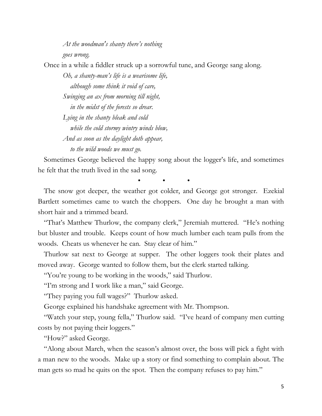*At the woodman's shanty there's nothing goes wrong.*

Once in a while a fiddler struck up a sorrowful tune, and George sang along.

*Oh, a shanty-man's life is a wearisome life, although some think it void of care, Swinging an ax from morning till night, in the midst of the forests so drear. Lying in the shanty bleak and cold while the cold stormy wintry winds blow, And as soon as the daylight doth appear, to the wild woods we must go.*

Sometimes George believed the happy song about the logger's life, and sometimes he felt that the truth lived in the sad song.

• • •

The snow got deeper, the weather got colder, and George got stronger. Ezekial Bartlett sometimes came to watch the choppers. One day he brought a man with short hair and a trimmed beard.

"That's Matthew Thurlow, the company clerk," Jeremiah muttered. "He's nothing but bluster and trouble. Keeps count of how much lumber each team pulls from the woods. Cheats us whenever he can. Stay clear of him."

Thurlow sat next to George at supper. The other loggers took their plates and moved away. George wanted to follow them, but the clerk started talking.

"You're young to be working in the woods," said Thurlow.

"I'm strong and I work like a man," said George.

"They paying you full wages?" Thurlow asked.

George explained his handshake agreement with Mr. Thompson.

"Watch your step, young fella," Thurlow said. "I've heard of company men cutting costs by not paying their loggers."

"How?" asked George.

"Along about March, when the season's almost over, the boss will pick a fight with a man new to the woods. Make up a story or find something to complain about. The man gets so mad he quits on the spot. Then the company refuses to pay him."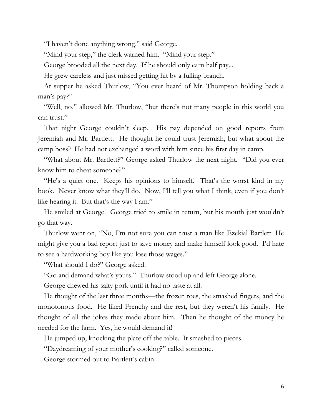"I haven't done anything wrong," said George.

"Mind your step," the clerk warned him. "Mind your step."

George brooded all the next day. If he should only earn half pay...

He grew careless and just missed getting hit by a fulling branch.

At supper he asked Thurlow, "You ever heard of Mr. Thompson holding back a man's pay?"

"Well, no," allowed Mr. Thurlow, "but there's not many people in this world you can trust."

That night George couldn't sleep. His pay depended on good reports from Jeremiah and Mr. Bartlett. He thought he could trust Jeremiah, but what about the camp boss? He had not exchanged a word with him since his first day in camp.

"What about Mr. Bartlett?" George asked Thurlow the next night. "Did you ever know him to cheat someone?"

"He's a quiet one. Keeps his opinions to himself. That's the worst kind in my book. Never know what they'll do. Now, I'll tell you what I think, even if you don't like hearing it. But that's the way I am."

He smiled at George. George tried to smile in return, but his mouth just wouldn't go that way.

Thurlow went on, "No, I'm not sure you can trust a man like Ezekial Bartlett. He might give you a bad report just to save money and make himself look good. I'd hate to see a hardworking boy like you lose those wages."

"What should I do?" George asked.

"Go and demand what's yours." Thurlow stood up and left George alone.

George chewed his salty pork until it had no taste at all.

He thought of the last three months—the frozen toes, the smashed fingers, and the monotonous food. He liked Frenchy and the rest, but they weren't his family. He thought of all the jokes they made about him. Then he thought of the money he needed for the farm. Yes, he would demand it!

He jumped up, knocking the plate off the table. It smashed to pieces.

"Daydreaming of your mother's cooking?" called someone.

George stormed out to Bartlett's cabin.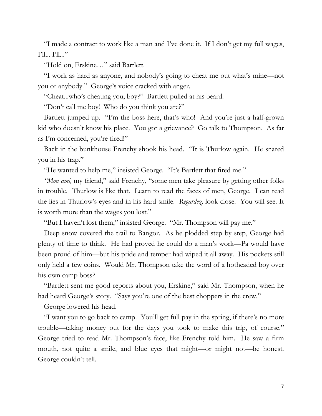"I made a contract to work like a man and I've done it. If I don't get my full wages, I'll... I'll..."

"Hold on, Erskine…" said Bartlett.

"I work as hard as anyone, and nobody's going to cheat me out what's mine—not you or anybody." George's voice cracked with anger.

"Cheat...who's cheating you, boy?" Bartlett pulled at his beard.

"Don't call me boy! Who do you think you are?"

Bartlett jumped up. "I'm the boss here, that's who! And you're just a half-grown kid who doesn't know his place. You got a grievance? Go talk to Thompson. As far as I'm concerned, you're fired!"

Back in the bunkhouse Frenchy shook his head. "It is Thurlow again. He snared you in his trap."

"He wanted to help me," insisted George. "It's Bartlett that fired me."

*"Mon ami,* my friend," said Frenchy, "some men take pleasure by getting other folks in trouble. Thurlow is like that. Learn to read the faces of men, George. I can read the lies in Thurlow's eyes and in his hard smile. *Regardez,* look close. You will see. It is worth more than the wages you lost."

"But I haven't lost them," insisted George. "Mr. Thompson will pay me."

Deep snow covered the trail to Bangor. As he plodded step by step, George had plenty of time to think. He had proved he could do a man's work—Pa would have been proud of him—but his pride and temper had wiped it all away. His pockets still only held a few coins. Would Mr. Thompson take the word of a hotheaded boy over his own camp boss?

"Bartlett sent me good reports about you, Erskine," said Mr. Thompson, when he had heard George's story. "Says you're one of the best choppers in the crew."

George lowered his head.

"I want you to go back to camp. You'll get full pay in the spring, if there's no more trouble—taking money out for the days you took to make this trip, of course." George tried to read Mr. Thompson's face, like Frenchy told him. He saw a firm mouth, not quite a smile, and blue eyes that might—or might not—be honest. George couldn't tell.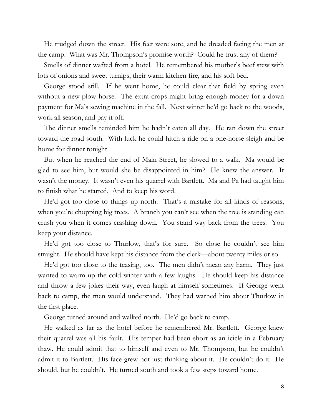He trudged down the street. His feet were sore, and he dreaded facing the men at the camp. What was Mr. Thompson's promise worth? Could he trust any of them?

Smells of dinner wafted from a hotel. He remembered his mother's beef stew with lots of onions and sweet turnips, their warm kitchen fire, and his soft bed.

George stood still. If he went home, he could clear that field by spring even without a new plow horse. The extra crops might bring enough money for a down payment for Ma's sewing machine in the fall. Next winter he'd go back to the woods, work all season, and pay it off.

The dinner smells reminded him he hadn't eaten all day. He ran down the street toward the road south. With luck he could hitch a ride on a one-horse sleigh and be home for dinner tonight.

But when he reached the end of Main Street, he slowed to a walk. Ma would be glad to see him, but would she be disappointed in him? He knew the answer. It wasn't the money. It wasn't even his quarrel with Bartlett. Ma and Pa had taught him to finish what he started. And to keep his word.

He'd got too close to things up north. That's a mistake for all kinds of reasons, when you're chopping big trees. A branch you can't see when the tree is standing can crush you when it comes crashing down. You stand way back from the trees. You keep your distance.

He'd got too close to Thurlow, that's for sure. So close he couldn't see him straight. He should have kept his distance from the clerk—about twenty miles or so.

He'd got too close to the teasing, too. The men didn't mean any harm. They just wanted to warm up the cold winter with a few laughs. He should keep his distance and throw a few jokes their way, even laugh at himself sometimes. If George went back to camp, the men would understand. They had warned him about Thurlow in the first place.

George turned around and walked north. He'd go back to camp.

He walked as far as the hotel before he remembered Mr. Bartlett. George knew their quarrel was all his fault. His temper had been short as an icicle in a February thaw. He could admit that to himself and even to Mr. Thompson, but he couldn't admit it to Bartlett. His face grew hot just thinking about it. He couldn't do it. He should, but he couldn't. He turned south and took a few steps toward home.